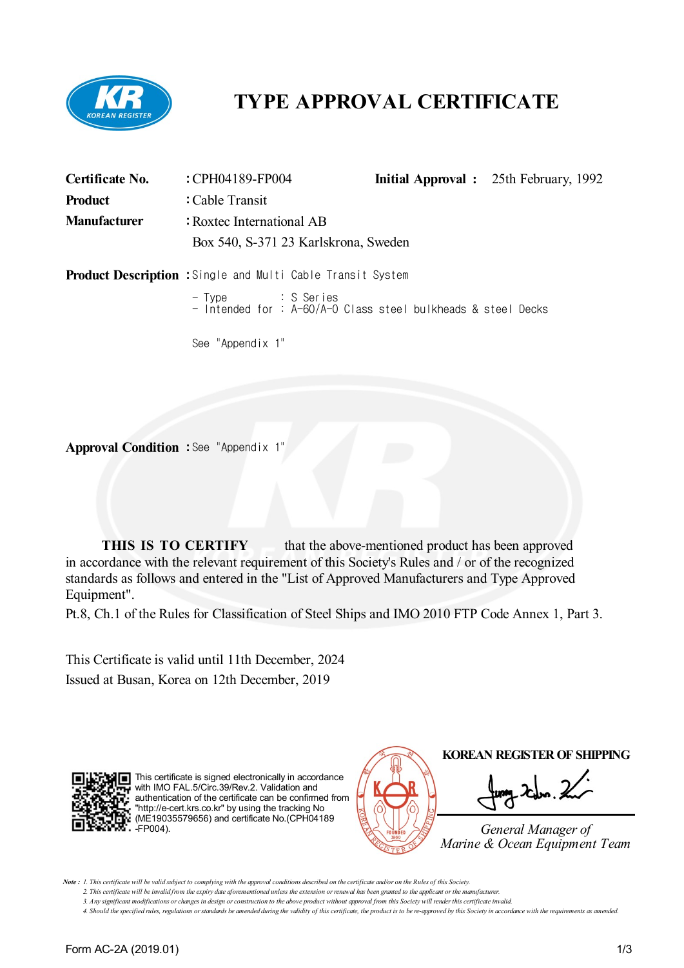

# **TYPE APPROVAL CERTIFICATE**

| Certificate No.     | : CPH04189-FP004                                                   |  | <b>Initial Approval</b> : 25th February, 1992 |  |  |  |  |
|---------------------|--------------------------------------------------------------------|--|-----------------------------------------------|--|--|--|--|
| <b>Product</b>      | : Cable Transit                                                    |  |                                               |  |  |  |  |
| <b>Manufacturer</b> | : Roxtec International AB<br>Box 540, S-371 23 Karlskrona, Sweden  |  |                                               |  |  |  |  |
|                     | <b>Product Description :</b> Single and Multi Cable Transit System |  |                                               |  |  |  |  |
|                     | See "Appendix 1"                                                   |  |                                               |  |  |  |  |

**Approval Condition :** See "Appendix 1"

**THIS IS TO CERTIFY** that the above-mentioned product has been approved in accordance with the relevant requirement of this Society's Rules and / or of the recognized standards as follows and entered in the "List of Approved Manufacturers and Type Approved Equipment".

Pt.8, Ch.1 of the Rules for Classification of Steel Ships and IMO 2010 FTP Code Annex 1, Part 3.

This Certificate is valid until 11th December, 2024 Issued at Busan, Korea on 12th December, 2019



This certificate is signed electronically in accordance with IMO FAL.5/Circ.39/Rev.2. Validation and authentication of the certificate can be confirmed from "http://e-cert.krs.co.kr" by using the tracking No (ME19035579656) and certificate No.(CPH04189 -FP004).



Note: 1. This certificate will be valid subject to complying with the approval conditions described on the certificate and/or on the Rules of this Society.

<sup>2.</sup> This certificate will be invalid from the expiry date aforementioned unless the extension or renewal has been granted to the applicant or the manufacturer.

<sup>3.</sup> Any significant modifications or changes in design or construction to the above product without approval from this Society will render this certificate invalid.

<sup>4.</sup> Should the specified rules, regulations or standards be amended during the validity of this certificate, the product is to be re-approved by this Society in accordance with the requirements as amended.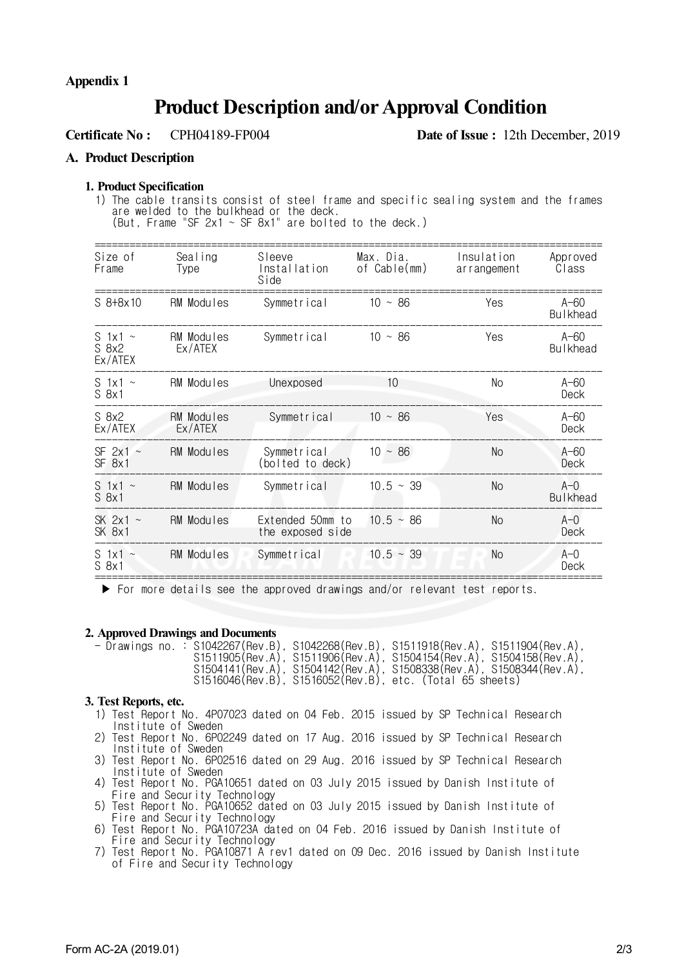## **Product Description and/orApproval Condition**

**Certificate No :** CPH04189-FP004 **Date of Issue :** 12th December, 2019

#### **A. Product Description**

#### **1. Product Specification**

1) The cable transits consist of steel frame and specific sealing system and the frames are welded to the bulkhead or the deck. (But, Frame "SF  $2x1 \sim SF$  8x1" are bolted to the deck.)

| Size of<br>Frame                   | Sealing<br>Type              | Sleeve<br>Installation<br>Side       | Max. Dia.<br>of Cable(mm) | Insulation<br>arrangement | Approved<br>Class         |
|------------------------------------|------------------------------|--------------------------------------|---------------------------|---------------------------|---------------------------|
| $$8+8x10$                          | RM Modules                   | Symmetrical                          | $10 \sim 86$              | Yes                       | $A-60$<br><b>Bulkhead</b> |
| S 1x1 $\sim$<br>$S_8x2$<br>Ex/ATEX | RM Modules<br>Ex/ATEX        | Symmetrical                          | $10 \sim 86$              | Yes                       | $A-60$<br><b>Bulkhead</b> |
| S 1x1 $\sim$<br>$S_8x1$            | RM Modules                   | Unexposed                            | 10 <sup>°</sup>           | No                        | $A-60$<br>Deck            |
| S 8x2<br>Ex/ATEX                   | <b>RM Modules</b><br>Ex/ATEX | Symmetrical                          | $10 \sim 86$              | Yes                       | $A-60$<br>Deck            |
| SF $2x1 -$<br>SF 8x1               | RM Modules                   | Symmetrical<br>(bolted to deck)      | $10 \sim 86$              | No                        | $A-60$<br>Deck            |
| S $1x1 -$<br>$S_8x1$               | RM Modules                   | Symmetrical                          | $10.5 \sim 39$            | N <sub>o</sub>            | $A-0$<br><b>Bulkhead</b>  |
| SK $2x1 -$<br>SK 8x1               | RM Modules                   | Extended 50mm to<br>the exposed side | $10.5~\sim~86$            | No                        | $A-0$<br>Deck             |
| S 1x1 $\sim$<br>S 8x1              | RM Modules                   | Symmetrical                          | $10.5 \sim 39$            | No.                       | $A-0$<br>Deck             |

 $\blacktriangleright$  For more details see the approved drawings and/or relevant test reports.

#### **2. Approved Drawings and Documents**

|  | - $D$ rawings no.: S1042267(Rev.B), S1042268(Rev.B), S1511918(Rev.A), S1511904(Rev.A), | S1511905(Rev.A), S1511906(Rev.A), S1504154(Rev.A), S1504158(Rev.A),<br>$S1504141(Rev.A), S1504142(Rev.A), S1508338(Rev.A), S1508344(Rev.A),$ |  |
|--|----------------------------------------------------------------------------------------|----------------------------------------------------------------------------------------------------------------------------------------------|--|
|  |                                                                                        | S1516046(Rev.B), S1516052(Rev.B), etc. (Total 65 sheets)                                                                                     |  |

#### **3. Test Reports, etc.**

- 1) Test Report No. 4P07023 dated on 04 Feb. 2015 issued by SP Technical Research Institute of Sweden
- 2) Test Report No. 6P02249 dated on 17 Aug. 2016 issued by SP Technical Research Institute of Sweden
- 3) Test Report No. 6P02516 dated on 29 Aug. 2016 issued by SP Technical Research Institute of Sweden
- 4) Test Report No. PGA10651 dated on 03 July 2015 issued by Danish Institute of Fire and Security Technology
- 5) Test Report No. PGA10652 dated on 03 July 2015 issued by Danish Institute of Fire and Security Technology
- 6) Test Report No. PGA10723A dated on 04 Feb. 2016 issued by Danish Institute of Fire and Security Technology
- 7) Test Report No. PGA10871 A rev1 dated on 09 Dec. 2016 issued by Danish Institute of Fire and Security Technology